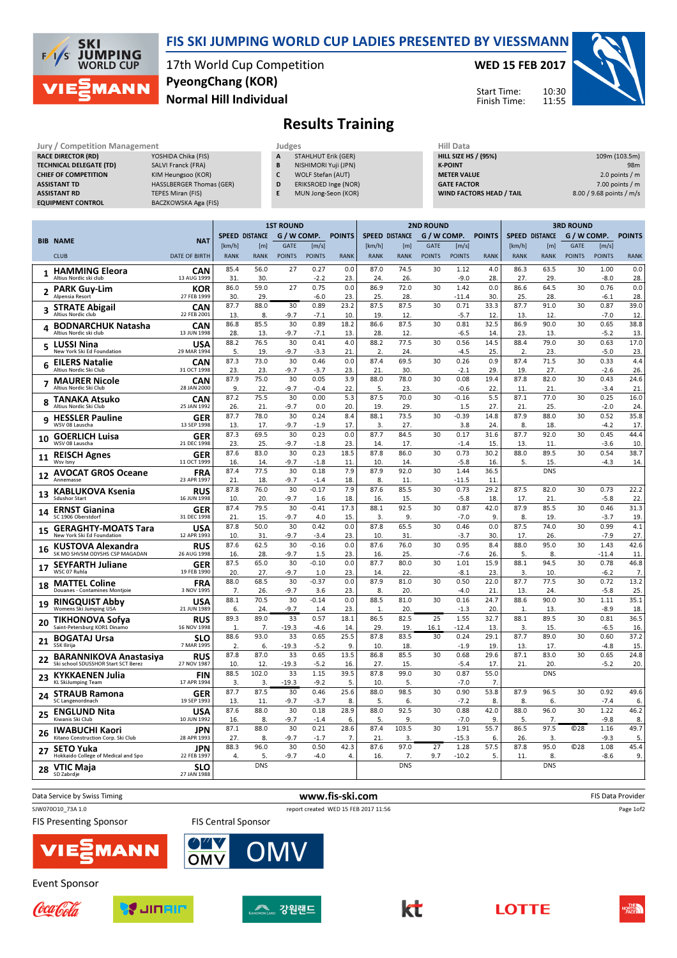

## FIS SKI JUMPING WORLD CUP LADIES PRESENTED BY VIESSMANN

17th World Cup Competition Normal Hill Individual PyeongChang (KOR)

WED 15 FEB 2017

Start Time: Finish Time: 10:30 11:55



## Results Training

| Jury / Competition Management  |                          | Judges |                      | Hill Data                       |                          |  |  |
|--------------------------------|--------------------------|--------|----------------------|---------------------------------|--------------------------|--|--|
| <b>RACE DIRECTOR (RD)</b>      | YOSHIDA Chika (FIS)      | A      | STAHLHUT Erik (GER)  | <b>HILL SIZE HS / (95%)</b>     | 109m (103.5m)            |  |  |
| <b>TECHNICAL DELEGATE (TD)</b> | SALVI Franck (FRA)       | B      | NISHIMORI Yuji (JPN) | <b>K-POINT</b>                  | 98 <sub>m</sub>          |  |  |
| <b>CHIEF OF COMPETITION</b>    | KIM Heungsoo (KOR)       |        | WOLF Stefan (AUT)    | <b>METER VALUE</b>              | 2.0 points $/m$          |  |  |
| <b>ASSISTANT TD</b>            | HASSLBERGER Thomas (GER) | D      | ERIKSROED Inge (NOR) | <b>GATE FACTOR</b>              | $7.00$ points / m        |  |  |
| <b>ASSISTANT RD</b>            | <b>TEPES Miran (FIS)</b> |        | MUN Jong-Seon (KOR)  | <b>WIND FACTORS HEAD / TAIL</b> | 8.00 / 9.68 points / m/s |  |  |
| <b>EQUIPMENT CONTROL</b>       | BACZKOWSKA Aga (FIS)     |        |                      |                                 |                          |  |  |

|    |                                                        |                           | <b>1ST ROUND</b>      |             |               |                |               | <b>2ND ROUND</b>      |             |               |                 |               | <b>3RD ROUND</b> |                       |                 |                 |               |
|----|--------------------------------------------------------|---------------------------|-----------------------|-------------|---------------|----------------|---------------|-----------------------|-------------|---------------|-----------------|---------------|------------------|-----------------------|-----------------|-----------------|---------------|
|    |                                                        |                           | <b>SPEED DISTANCE</b> |             | G / W COMP.   |                | <b>POINTS</b> | <b>SPEED DISTANCE</b> |             | G / W COMP.   |                 | <b>POINTS</b> |                  | <b>SPEED DISTANCE</b> | G / W COMP.     |                 | <b>POINTS</b> |
|    | <b>BIB NAME</b>                                        | <b>NAT</b>                | [km/h]                | [m]         | <b>GATE</b>   | [m/s]          |               | [km/h]                | [m]         | <b>GATE</b>   | [m/s]           |               | [km/h]           | [m]                   | <b>GATE</b>     | [m/s]           |               |
|    | <b>CLUB</b>                                            | <b>DATE OF BIRTH</b>      | <b>RANK</b>           | <b>RANK</b> | <b>POINTS</b> | <b>POINTS</b>  | <b>RANK</b>   | <b>RANK</b>           | <b>RANK</b> | <b>POINTS</b> | <b>POINTS</b>   | <b>RANK</b>   | <b>RANK</b>      | <b>RANK</b>           | <b>POINTS</b>   | <b>POINTS</b>   | <b>RANK</b>   |
|    | <b>HAMMING Eleora</b>                                  | CAN                       | 85.4                  | 56.0        | 27            | 0.27           | 0.0           | 87.0                  | 74.5        | 30            | 1.12            | 4.0           | 86.3             | 63.5                  | 30              | 1.00            | 0.0           |
| 1  | Altius Nordic ski club                                 | 13 AUG 1999               | 31                    | 30.         |               | $-2.2$         | 23            | 24.                   | 26.         |               | $-9.0$          | 28.           | 27.              | 29.                   |                 | $-8.0$          | 28.           |
| 2  | <b>PARK Guy-Lim</b>                                    | <b>KOR</b>                | 86.0                  | 59.0        | 27            | 0.75           | 0.0           | 86.9                  | 72.0        | 30            | 1.42            | 0.0           | 86.6             | 64.5                  | 30              | 0.76            | 0.0           |
|    | Alpensia Resort                                        | 27 FEB 1999               | 30.                   | 29.         |               | $-6.0$         | 23            | 25.                   | 28.         |               | $-11.4$         | 30.           | 25.              | 28.                   |                 | $-6.1$          | 28.           |
| 3  | <b>STRATE Abigail</b><br>Altius Nordic club            | <b>CAN</b><br>22 FEB 2001 | 87.7<br>13.           | 88.0<br>8.  | 30<br>$-9.7$  | 0.89<br>$-7.1$ | 23.2<br>10    | 87.5<br>19.           | 87.5<br>12. | 30            | 0.71<br>$-5.7$  | 33.3<br>12.   | 87.7<br>13.      | 91.0<br>12.           | 30              | 0.87<br>$-7.0$  | 39.0<br>12.   |
|    | <b>BODNARCHUK Natasha</b>                              | CAN                       | 86.8                  | 85.5        | 30            | 0.89           | 18.2          | 86.6                  | 87.5        | 30            | 0.81            | 32.5          | 86.9             | 90.0                  | 30              | 0.65            | 38.8          |
| 4  | Altius Nordic ski club                                 | 13 JUN 1998               | 28.                   | 13.         | -9.7          | $-7.1$         | 13            | 28.                   | 12.         |               | $-6.5$          | 14.           | 23.              | 13.                   |                 | $-5.2$          | 13.           |
| 5  | <b>LUSSI Nina</b>                                      | <b>USA</b>                | 88.2                  | 76.5        | 30            | 0.41           | 4.0           | 88.2                  | 77.5        | 30            | 0.56            | 14.5          | 88.4             | 79.0                  | 30              | 0.63            | 17.0          |
|    | New York Ski Ed Foundation                             | 29 MAR 1994               | 5.                    | 19.         | $-9.7$        | $-3.3$         | 21            | 2.                    | 24.         |               | $-4.5$          | 25.           | 2.               | 23.                   |                 | $-5.0$          | 23.           |
| 6  | <b>EILERS Natalie</b><br>Altius Nordic Ski Club        | <b>CAN</b><br>31 OCT 1998 | 87.3                  | 73.0        | 30            | 0.46           | 0.0           | 87.4                  | 69.5        | 30            | 0.26            | 0.9<br>29.    | 87.4             | 71.5                  | 30              | 0.33            | 4.4           |
|    |                                                        |                           | 23.<br>87.9           | 23.<br>75.0 | $-9.7$<br>30  | $-3.7$<br>0.05 | 23<br>3.9     | 21<br>88.0            | 30.<br>78.0 | 30            | $-2.1$<br>0.08  | 19.4          | 19.<br>87.8      | 27.<br>82.0           | 30              | $-2.6$<br>0.43  | 26.<br>24.6   |
| 7  | <b>MAURER Nicole</b><br>Altius Nordic Ski Club         | <b>CAN</b><br>28 JAN 2000 | 9.                    | 22.         | $-9.7$        | $-0.4$         | 22            | 5.                    | 23.         |               | $-0.6$          | 22.           | 11.              | 21.                   |                 | $-3.4$          | 21.           |
|    | TANAKA Atsuko                                          | <b>CAN</b>                | 87.2                  | 75.5        | 30            | 0.00           | 5.3           | 87.5                  | 70.0        | 30            | $-0.16$         | 5.5           | 87.1             | 77.0                  | 30              | 0.25            | 16.0          |
| 8  | Altius Nordic Ski Club                                 | 25 JAN 1992               | 26.                   | 21.         | $-9.7$        | 0.0            | 20            | 19.                   | 29.         |               | 1.5             | 27.           | 21.              | 25.                   |                 | $-2.0$          | 24.           |
| 9  | <b>HESSLER Pauline</b>                                 | <b>GER</b>                | 87.7                  | 78.0        | 30            | 0.24           | 8.4           | 88.1                  | 73.5        | 30            | $-0.39$         | 14.8          | 87.9             | 88.0                  | 30              | 0.52            | 35.8          |
|    | WSV 08 Lauscha                                         | 13 SEP 1998               | 13.                   | 17.         | -9.7          | $-1.9$         | 17            | 3.                    | 27.         |               | 3.8             | 24.           | 8.               | 18.                   |                 | $-4.2$          | 17.           |
| 10 | <b>GOERLICH Luisa</b><br>WSV 08 Lauscha                | <b>GER</b><br>21 DEC 1998 | 87.3<br>23.           | 69.5<br>25. | 30<br>$-9.7$  | 0.23<br>$-1.8$ | 0.0<br>23     | 87.7<br>14.           | 84.5<br>17. | 30            | 0.17<br>$-1.4$  | 31.6<br>15.   | 87.7<br>13.      | 92.0<br>11.           | 30              | 0.45<br>$-3.6$  | 44.4<br>10.   |
|    |                                                        | <b>GER</b>                | 87.6                  | 83.0        | 30            | 0.23           | 18.5          | 87.8                  | 86.0        | 30            | 0.73            | 30.2          | 88.0             | 89.5                  | 30              | 0.54            | 38.7          |
| 11 | <b>REISCH Agnes</b><br>Wsv Isny                        | 11 OCT 1999               | 16.                   | 14.         | $-9.7$        | $-1.8$         | 11            | 10.                   | 14.         |               | $-5.8$          | 16.           | 5.               | 15.                   |                 | $-4.3$          | 14.           |
| 12 | <b>AVOCAT GROS Oceane</b>                              | <b>FRA</b>                | 87.4                  | 77.5        | 30            | 0.18           | 7.9           | 87.9                  | 92.0        | 30            | 1.44            | 36.5          |                  | <b>DNS</b>            |                 |                 |               |
|    | Annemasse                                              | 23 APR 1997               | 21.                   | 18.         | $-9.7$        | $-1.4$         | 18            | 8.                    | 11.         |               | $-11.5$         | 11            |                  |                       |                 |                 |               |
| 13 | <b>KABLUKOVA Ksenia</b><br><b>Sdushor Start</b>        | <b>RUS</b>                | 87.8                  | 76.0<br>20  | 30            | $-0.17$        | 7.9           | 87.6                  | 85.5        | 30            | 0.73            | 29.2          | 87.5             | 82.0                  | 30              | 0.73            | 22.2          |
|    |                                                        | 16 JUN 1998               | 10.<br>87.4           | 79.5        | -9.7<br>30    | 1.6<br>$-0.41$ | 18<br>17.3    | 16.<br>88.1           | 15.<br>92.5 | 30            | $-5.8$<br>0.87  | 18.<br>42.0   | 17.<br>87.9      | 21<br>85.5            | 30              | $-5.8$<br>0.46  | 22.<br>31.3   |
| 14 | <b>ERNST Gianina</b><br>SC 1906 Oberstdorf             | <b>GER</b><br>31 DEC 1998 | 21                    | 15.         | $-9.7$        | 4.0            | 15            | 3.                    | 9.          |               | $-7.0$          | 9.            | 8.               | 19.                   |                 | $-3.7$          | 19.           |
|    | <b>GERAGHTY-MOATS Tara</b>                             | <b>USA</b>                | 87.8                  | 50.0        | 30            | 0.42           | 0.0           | 87.8                  | 65.5        | 30            | 0.46            | 0.0           | 87.5             | 74.0                  | 30              | 0.99            | 4.1           |
| 15 | New York Ski Ed Foundation                             | 12 APR 1993               | 10.                   | 31.         | $-9.7$        | $-3.4$         | 23            | 10.                   | 31.         |               | $-3.7$          | 30.           | 17.              | 26.                   |                 | $-7.9$          | 27.           |
| 16 | <b>KUSTOVA Alexandra</b>                               | <b>RUS</b>                | 87.6                  | 62.5        | 30            | $-0.16$        | 0.0           | 87.6                  | 76.0        | 30            | 0.95            | 8.4           | 88.0             | 95.0                  | 30              | 1.43            | 42.6          |
|    | SK MO SHVSM ODYSHS CSP MAGADAN                         | 26 AUG 1998               | 16.<br>87.5           | 28.<br>65.0 | $-9.7$<br>30  | 1.5<br>$-0.10$ | 23<br>0.0     | 16.<br>87.7           | 25.<br>80.0 | 30            | $-7.6$<br>1.01  | 26.<br>15.9   | 5.<br>88.1       | 8.<br>94.5            | 30              | $-11.4$<br>0.78 | 11.<br>46.8   |
| 17 | <b>SEYFARTH Juliane</b><br>WSC 07 Ruhla                | <b>GER</b><br>19 FEB 1990 | 20.                   | 27.         | $-9.7$        | 1.0            | 23            | 14.                   | 22.         |               | $-8.1$          | 23            | 3.               | 10.                   |                 | $-6.2$          | 7.            |
|    | <b>MATTEL Coline</b>                                   | FRA                       | 88.0                  | 68.5        | 30            | $-0.37$        | 0.0           | 87.9                  | 81.0        | 30            | 0.50            | 22.0          | 87.7             | 77.5                  | 30              | 0.72            | 13.2          |
| 18 | Douanes - Contamines Montjoie                          | 3 NOV 1995                | 7.                    | 26.         | -9.7          | 3.6            | 23            | 8.                    | 20.         |               | $-4.0$          | 21            | 13.              | 24.                   |                 | $-5.8$          | 25.           |
| 19 | <b>RINGQUIST Abby</b>                                  | <b>USA</b>                | 88.1                  | 70.5        | 30            | $-0.14$        | 0.0           | 88.5                  | 81.0        | 30            | 0.16            | 24.7          | 88.6             | 90.0                  | 30              | 1.11            | 35.1          |
|    | Womens Ski Jumping USA                                 | 21 JUN 1989               | 6.<br>89.3            | 24.<br>89.0 | $-9.7$<br>33  | 1.4<br>0.57    | 23            | 1.<br>86.5            | 20.<br>82.5 | 25            | $-1.3$<br>1.55  | 20.<br>32.7   | 1.<br>88.1       | 13.<br>89.5           | 30              | $-8.9$          | 18.<br>36.5   |
| 20 | <b>TIKHONOVA Sofya</b><br>Saint-Petersburg KOR1 Dinamo | <b>RUS</b><br>16 NOV 1998 | $\mathbf{1}$          | 7.          | $-19.3$       | $-4.6$         | 18.1<br>14    | 29                    | 19.         | 16.1          | $-12.4$         | 13.           | 3.               | 15.                   |                 | 0.81<br>$-6.5$  | 16.           |
|    | <b>BOGATAJ Ursa</b>                                    | <b>SLO</b>                | 88.6                  | 93.0        | 33            | 0.65           | 25.5          | 87.8                  | 83.5        | 30            | 0.24            | 29.1          | 87.7             | 89.0                  | 30              | 0.60            | 37.2          |
| 21 | SSK Ilirija                                            | 7 MAR 1995                | 2.                    | 6.          | $-19.3$       | $-5.2$         | 9.            | 10.                   | 18.         |               | $-1.9$          | 19.           | 13.              | 17.                   |                 | $-4.8$          | 15.           |
| 22 | <b>BARANNIKOVA Anastasiya</b>                          | <b>RUS</b>                | 87.8                  | 87.0        | 33            | 0.65           | 13.5          | 86.8                  | 85.5        | 30            | 0.68            | 29.6          | 87.1             | 83.0                  | 30              | 0.65            | 24.8          |
|    | Ski school SDUSSHOR Start SCT Berez                    | 27 NOV 1987               | 10.                   | 12.         | $-19.3$       | $-5.2$         | 16            | 27.                   | 15.         |               | $-5.4$          | 17            | 21.              | 20                    |                 | $-5.2$          | 20.           |
| 23 | KYKKAENEN Julia<br><b>KL SkiJumping Team</b>           | <b>FIN</b><br>17 APR 1994 | 88.5<br>3.            | 102.0<br>3. | 33<br>$-19.3$ | 1.15<br>$-9.2$ | 39.5<br>5     | 87.8<br>10.           | 99.0<br>5.  | 30            | 0.87<br>$-7.0$  | 55.0<br>7.    |                  | <b>DNS</b>            |                 |                 |               |
|    |                                                        | <b>GER</b>                | 87.7                  | 87.5        | 30            | 0.46           | 25.6          | 88.0                  | 98.5        | 30            | 0.90            | 53.8          | 87.9             | 96.5                  | 30              | 0.92            | 49.6          |
| 24 | <b>STRAUB Ramona</b><br>SC Langenordnach               | 19 SEP 1993               | 13.                   | 11.         | $-9.7$        | $-3.7$         | 8             | 5.                    | 6.          |               | $-7.2$          | 8.            | 8.               | 6.                    |                 | $-7.4$          | 6.            |
| 25 | <b>ENGLUND Nita</b>                                    | <b>USA</b>                | 87.6                  | 88.0        | 30            | 0.18           | 28.9          | 88.0                  | 92.5        | 30            | 0.88            | 42.0          | 88.0             | 96.0                  | 30              | 1.22            | 46.2          |
|    | Kiwanis Ski Club                                       | 10 JUN 1992               | 16.                   | 8.          | $-9.7$        | $-1.4$         | 6.            | 5.                    | 9.          |               | $-7.0$          | 9.            | 5.               | 7.                    |                 | $-9.8$          | 8.            |
| 26 | <b>IWABUCHI Kaori</b>                                  | <b>JPN</b>                | 87.1                  | 88.0        | 30            | 0.21           | 28.6          | 87.4                  | 103.5       | 30            | 1.91            | 55.7          | 86.5             | 97.5                  | C <sub>28</sub> | 1.16            | 49.7          |
|    | Kitano Construction Corp. Ski Club                     | 28 APR 1993               | 27.<br>88.3           | 8.<br>96.0  | $-9.7$<br>30  | $-1.7$<br>0.50 | 7.<br>42.3    | 21.<br>87.6           | 3.<br>97.0  | 27            | $-15.3$<br>1.28 | 6.<br>57.5    | 26.<br>87.8      | 3.<br>95.0            | C <sub>28</sub> | $-9.3$<br>1.08  | 5.<br>45.4    |
| 27 | SETO Yuka<br>Hokkaido College of Medical and Spo       | <b>JPN</b><br>22 FEB 1997 | 4.                    | 5.          | $-9.7$        | $-4.0$         | 4.            | 16.                   | 7.          | 9.7           | $-10.2$         | 5.            | 11.              | 8.                    |                 | $-8.6$          | 9.            |
| 28 | VTIC Maja                                              | <b>SLO</b>                |                       | <b>DNS</b>  |               |                |               |                       | <b>DNS</b>  |               |                 |               |                  | <b>DNS</b>            |                 |                 |               |
|    | SD Zabrdie                                             | 27 JAN 1988               |                       |             |               |                |               |                       |             |               |                 |               |                  |                       |                 |                 |               |